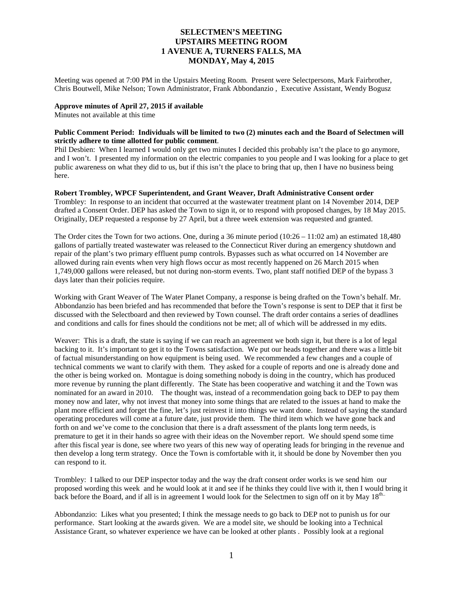# **SELECTMEN'S MEETING UPSTAIRS MEETING ROOM 1 AVENUE A, TURNERS FALLS, MA MONDAY, May 4, 2015**

Meeting was opened at 7:00 PM in the Upstairs Meeting Room. Present were Selectpersons, Mark Fairbrother, Chris Boutwell, Mike Nelson; Town Administrator, Frank Abbondanzio , Executive Assistant, Wendy Bogusz

## **Approve minutes of April 27, 2015 if available**

Minutes not available at this time

## **Public Comment Period: Individuals will be limited to two (2) minutes each and the Board of Selectmen will strictly adhere to time allotted for public comment**.

Phil Desbien: When I learned I would only get two minutes I decided this probably isn't the place to go anymore, and I won't. I presented my information on the electric companies to you people and I was looking for a place to get public awareness on what they did to us, but if this isn't the place to bring that up, then I have no business being here.

## **Robert Trombley, WPCF Superintendent, and Grant Weaver, Draft Administrative Consent order**

Trombley: In response to an incident that occurred at the wastewater treatment plant on 14 November 2014, DEP drafted a Consent Order. DEP has asked the Town to sign it, or to respond with proposed changes, by 18 May 2015. Originally, DEP requested a response by 27 April, but a three week extension was requested and granted.

The Order cites the Town for two actions. One, during a 36 minute period (10:26 – 11:02 am) an estimated 18,480 gallons of partially treated wastewater was released to the Connecticut River during an emergency shutdown and repair of the plant's two primary effluent pump controls. Bypasses such as what occurred on 14 November are allowed during rain events when very high flows occur as most recently happened on 26 March 2015 when 1,749,000 gallons were released, but not during non-storm events. Two, plant staff notified DEP of the bypass 3 days later than their policies require.

Working with Grant Weaver of The Water Planet Company, a response is being drafted on the Town's behalf. Mr. Abbondanzio has been briefed and has recommended that before the Town's response is sent to DEP that it first be discussed with the Selectboard and then reviewed by Town counsel. The draft order contains a series of deadlines and conditions and calls for fines should the conditions not be met; all of which will be addressed in my edits.

Weaver: This is a draft, the state is saying if we can reach an agreement we both sign it, but there is a lot of legal backing to it. It's important to get it to the Towns satisfaction. We put our heads together and there was a little bit of factual misunderstanding on how equipment is being used. We recommended a few changes and a couple of technical comments we want to clarify with them. They asked for a couple of reports and one is already done and the other is being worked on. Montague is doing something nobody is doing in the country, which has produced more revenue by running the plant differently. The State has been cooperative and watching it and the Town was nominated for an award in 2010. The thought was, instead of a recommendation going back to DEP to pay them money now and later, why not invest that money into some things that are related to the issues at hand to make the plant more efficient and forget the fine, let's just reinvest it into things we want done. Instead of saying the standard operating procedures will come at a future date, just provide them. The third item which we have gone back and forth on and we've come to the conclusion that there is a draft assessment of the plants long term needs, is premature to get it in their hands so agree with their ideas on the November report. We should spend some time after this fiscal year is done, see where two years of this new way of operating leads for bringing in the revenue and then develop a long term strategy. Once the Town is comfortable with it, it should be done by November then you can respond to it.

Trombley: I talked to our DEP inspector today and the way the draft consent order works is we send him our proposed wording this week and he would look at it and see if he thinks they could live with it, then I would bring it back before the Board, and if all is in agreement I would look for the Selectmen to sign off on it by May 18<sup>th..</sup>

Abbondanzio: Likes what you presented; I think the message needs to go back to DEP not to punish us for our performance. Start looking at the awards given. We are a model site, we should be looking into a Technical Assistance Grant, so whatever experience we have can be looked at other plants . Possibly look at a regional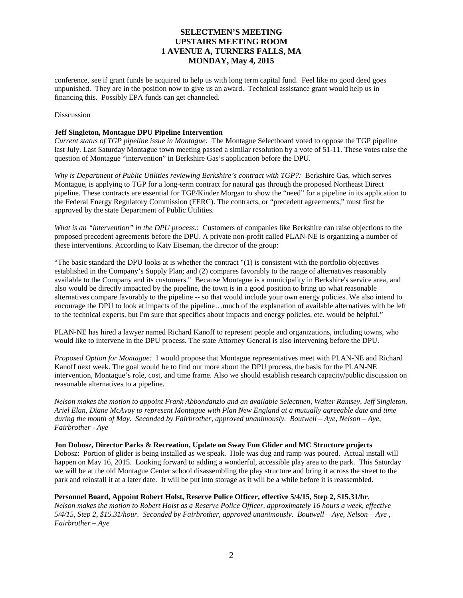# **SELECTMEN'S MEETING UPSTAIRS MEETING ROOM 1 AVENUE A, TURNERS FALLS, MA MONDAY, May 4, 2015**

conference, see if grant funds be acquired to help us with long term capital fund. Feel like no good deed goes unpunished. They are in the position now to give us an award. Technical assistance grant would help us in financing this. Possibly EPA funds can get channeled.

#### **Disscussion**

#### **Jeff Singleton, Montague DPU Pipeline Intervention**

*Current status of TGP pipeline issue in Montague:* The Montague Selectboard voted to oppose the TGP pipeline last July. Last Saturday Montague town meeting passed a similar resolution by a vote of 51-11. These votes raise the question of Montague "intervention" in Berkshire Gas's application before the DPU.

*Why is Department of Public Utilities reviewing Berkshire's contract with TGP?:* Berkshire Gas, which serves Montague, is applying to TGP for a long-term contract for natural gas through the proposed Northeast Direct pipeline. These contracts are essential for TGP/Kinder Morgan to show the "need" for a pipeline in its application to the Federal Energy Regulatory Commission (FERC). The contracts, or "precedent agreements," must first be approved by the state Department of Public Utilities.

*What is an "intervention" in the DPU process*.: Customers of companies like Berkshire can raise objections to the proposed precedent agreements before the DPU. A private non-profit called PLAN-NE is organizing a number of these interventions. According to Katy Eiseman, the director of the group:

"The basic standard the DPU looks at is whether the contract "(1) is consistent with the portfolio objectives established in the Company's Supply Plan; and (2) compares favorably to the range of alternatives reasonably available to the Company and its customers." Because Montague is a municipality in Berkshire's service area, and also would be directly impacted by the pipeline, the town is in a good position to bring up what reasonable alternatives compare favorably to the pipeline -- so that would include your own energy policies. We also intend to encourage the DPU to look at impacts of the pipeline…much of the explanation of available alternatives with be left to the technical experts, but I'm sure that specifics about impacts and energy policies, etc. would be helpful."

PLAN-NE has hired a lawyer named Richard Kanoff to represent people and organizations, including towns, who would like to intervene in the DPU process. The state Attorney General is also intervening before the DPU.

*Proposed Option for Montague:* I would propose that Montague representatives meet with PLAN-NE and Richard Kanoff next week. The goal would be to find out more about the DPU process, the basis for the PLAN-NE intervention, Montague's role, cost, and time frame. Also we should establish research capacity/public discussion on reasonable alternatives to a pipeline.

*Nelson makes the motion to appoint Frank Abbondanzio and an available Selectmen, Walter Ramsey, Jeff Singleton, Ariel Elan, Diane McAvoy to represent Montague with Plan New England at a mutually agreeable date and time during the month of May. Seconded by Fairbrother, approved unanimously. Boutwell – Aye, Nelson – Aye, Fairbrother - Aye*

#### **Jon Dobosz, Director Parks & Recreation, Update on Sway Fun Glider and MC Structure projects**

Dobosz: Portion of glider is being installed as we speak. Hole was dug and ramp was poured. Actual install will happen on May 16, 2015. Looking forward to adding a wonderful, accessible play area to the park. This Saturday we will be at the old Montague Center school disassembling the play structure and bring it across the street to the park and reinstall it at a later date. It will be put into storage as it will be a while before it is reassembled.

## **Personnel Board, Appoint Robert Holst, Reserve Police Officer, effective 5/4/15, Step 2, \$15.31/hr**.

*Nelson makes the motion to Robert Holst as a Reserve Police Officer, approximately 16 hours a week, effective 5/4/15, Step 2, \$15.31/hour. Seconded by Fairbrother, approved unanimously. Boutwell – Aye, Nelson – Aye , Fairbrother – Aye*